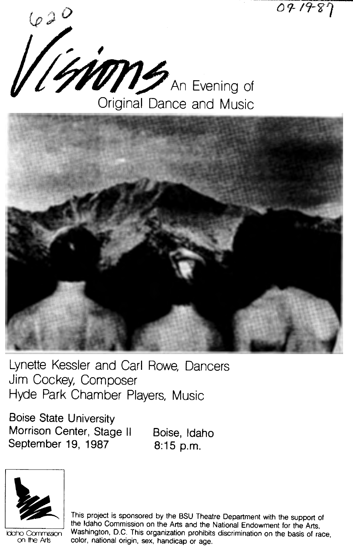



*()* 9-19-~?

Lynette Kessler and Carl Rowe, Dancers Jim Cockey, Composer Hyde Park Chamber Players, Music

Boise State University Morrison Center, Stage II September 19, 1987

Boise, Idaho 8:15 p.m.



Idaho Commission on the Arts

This project is sponsored by the BSU Theatre Department with the support of the Idaho Commission on the Arts and the National Endowment for the Arts. Washington, D.C. This organization prohibits discrimination on the basis of race, color, national origin, sex, handicap or age.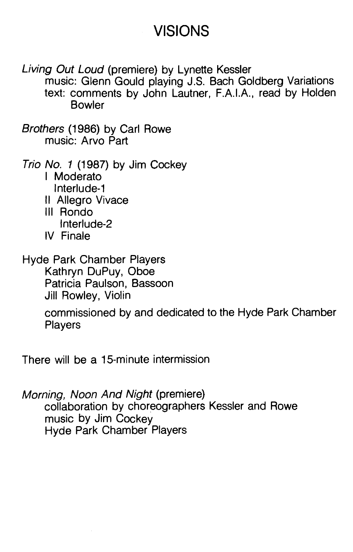# **VISIONS**

Living Out Loud (premiere) by Lynette Kessler music: Glenn Gould playing J.S. Bach Goldberg Variations text: comments by John Lautner, F.A.I.A., read by Holden Bowler

Brothers (1986) by Carl Rowe music: Arvo Part

Trio No. 1 (1987) by Jim Cockey I Moderato lnterlude-1

- II Allegro Vivace
- Ill Rondo lnterlude-2
- IV Finale

Hyde Park Chamber Players Kathryn DuPuy, Oboe Patricia Paulson, Bassoon Jill Rowley, Violin

> commissioned by and dedicated to the Hyde Park Chamber Players

There will be a 15-minute intermission

Morning, Noon And Night (premiere) collaboration by choreographers Kessler and Rowe music by Jim Cockey Hyde Park Chamber Players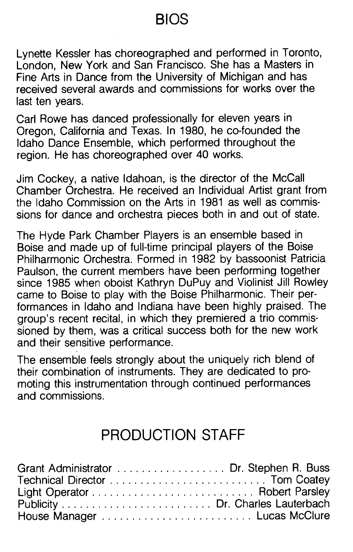Lynette Kessler has choreographed and performed in Toronto, London, New York and San Francisco. She has a Masters in Fine Arts in Dance from the University of Michigan and has received several awards and commissions for works over the last ten years.

Carl Rowe has danced professionally for eleven years in Oregon, California and Texas. In 1980, he co-founded the Idaho Dance Ensemble, which performed throughout the region. He has choreographed over 40 works.

Jim Cockey, a native Idahoan, is the director of the McCall Chamber Orchestra. He received an Individual Artist grant from the Idaho Commission on the Arts in 1981 as well as commissions for dance and orchestra pieces both in and out of state.

The Hyde Park Chamber Players is an ensemble based in Boise and made up of full-time principal players of the Boise Philharmonic Orchestra. Formed in 1982 by bassoonist Patricia Paulson, the current members have been performing together since 1985 when oboist Kathryn DuPuy and Violinist Jill Rowley came to Boise to play with the Boise Philharmonic. Their performances in Idaho and Indiana have been highly praised. The group's recent recital, in which they premiered a trio commissioned by them, was a critical success both for the new work and their sensitive performance.

The ensemble feels strongly about the uniquely rich blend of their combination of instruments. They are dedicated to promoting this instrumentation through continued performances and commissions.

# PRODUCTION STAFF

| Grant Administrator  Dr. Stephen R. Buss |  |
|------------------------------------------|--|
|                                          |  |
|                                          |  |
|                                          |  |
|                                          |  |